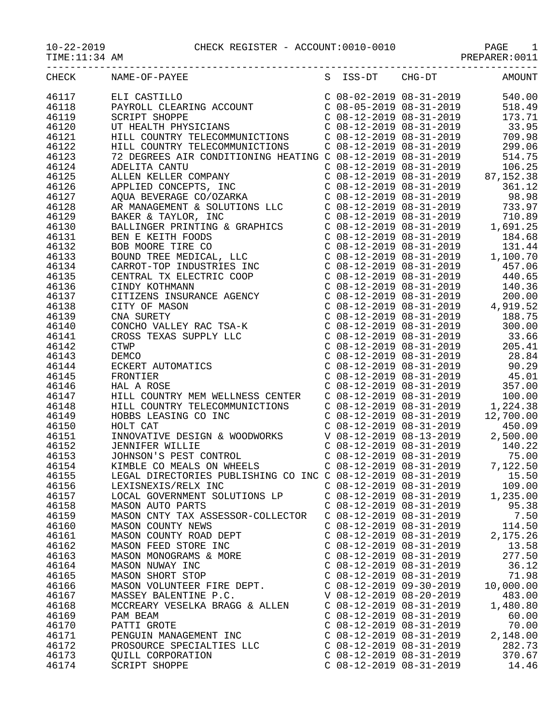TIME:11:34 AM PREPARER:0011

| CHECK | NAME-OF-PAYEE                                                                                                                                                                                                                                                                      |                           | S ISS-DT CHG-DT AMOUNT                                                                                                                                                                                |
|-------|------------------------------------------------------------------------------------------------------------------------------------------------------------------------------------------------------------------------------------------------------------------------------------|---------------------------|-------------------------------------------------------------------------------------------------------------------------------------------------------------------------------------------------------|
| 46117 | ELI CASTILLO<br>PAYROLL CLEARING ACCOUNT<br>C 08-02-2019 08-31-2019<br>C 08-05-2019 08-31-2019<br>C 08-12-2019 08-31-2019<br>C 08-12-2019 08-31-2019<br>C 08-12-2019 08-31-2019<br>HILL COUNTRY TELECOMMUNICTIONS<br>C 08-12-2019 08-31-2019<br>                                   |                           |                                                                                                                                                                                                       |
| 46118 |                                                                                                                                                                                                                                                                                    |                           |                                                                                                                                                                                                       |
| 46119 |                                                                                                                                                                                                                                                                                    |                           |                                                                                                                                                                                                       |
| 46120 |                                                                                                                                                                                                                                                                                    |                           |                                                                                                                                                                                                       |
| 46121 |                                                                                                                                                                                                                                                                                    |                           |                                                                                                                                                                                                       |
| 46122 |                                                                                                                                                                                                                                                                                    |                           |                                                                                                                                                                                                       |
| 46123 |                                                                                                                                                                                                                                                                                    |                           |                                                                                                                                                                                                       |
| 46124 |                                                                                                                                                                                                                                                                                    |                           |                                                                                                                                                                                                       |
| 46125 |                                                                                                                                                                                                                                                                                    |                           |                                                                                                                                                                                                       |
| 46126 |                                                                                                                                                                                                                                                                                    |                           |                                                                                                                                                                                                       |
| 46127 |                                                                                                                                                                                                                                                                                    |                           |                                                                                                                                                                                                       |
|       |                                                                                                                                                                                                                                                                                    |                           |                                                                                                                                                                                                       |
| 46128 |                                                                                                                                                                                                                                                                                    |                           |                                                                                                                                                                                                       |
| 46129 |                                                                                                                                                                                                                                                                                    |                           |                                                                                                                                                                                                       |
| 46130 |                                                                                                                                                                                                                                                                                    |                           |                                                                                                                                                                                                       |
| 46131 |                                                                                                                                                                                                                                                                                    |                           |                                                                                                                                                                                                       |
| 46132 |                                                                                                                                                                                                                                                                                    |                           |                                                                                                                                                                                                       |
| 46133 |                                                                                                                                                                                                                                                                                    |                           |                                                                                                                                                                                                       |
| 46134 |                                                                                                                                                                                                                                                                                    |                           |                                                                                                                                                                                                       |
| 46135 |                                                                                                                                                                                                                                                                                    |                           |                                                                                                                                                                                                       |
| 46136 |                                                                                                                                                                                                                                                                                    |                           |                                                                                                                                                                                                       |
| 46137 |                                                                                                                                                                                                                                                                                    |                           |                                                                                                                                                                                                       |
| 46138 |                                                                                                                                                                                                                                                                                    |                           |                                                                                                                                                                                                       |
| 46139 |                                                                                                                                                                                                                                                                                    |                           |                                                                                                                                                                                                       |
| 46140 |                                                                                                                                                                                                                                                                                    |                           |                                                                                                                                                                                                       |
| 46141 |                                                                                                                                                                                                                                                                                    |                           |                                                                                                                                                                                                       |
| 46142 |                                                                                                                                                                                                                                                                                    |                           |                                                                                                                                                                                                       |
| 46143 |                                                                                                                                                                                                                                                                                    |                           |                                                                                                                                                                                                       |
| 46144 |                                                                                                                                                                                                                                                                                    |                           |                                                                                                                                                                                                       |
| 46145 |                                                                                                                                                                                                                                                                                    |                           | C 08-12-2019 08-31-2019<br>C 08-12-2019 08-31-2019<br>C 08-12-2019 08-31-2019<br>C 08-12-2019 08-31-2019<br>C 08-12-2019 08-31-2019<br>C 08-12-2019 08-31-2019<br>C 08-12-2019 08-31-2019<br>1,224.38 |
| 46146 |                                                                                                                                                                                                                                                                                    |                           |                                                                                                                                                                                                       |
| 46147 | HILL COUNTRY MEM WELLNESS CENTER                                                                                                                                                                                                                                                   |                           |                                                                                                                                                                                                       |
| 46148 |                                                                                                                                                                                                                                                                                    |                           |                                                                                                                                                                                                       |
|       | HILL COUNTRY TELECOMMUNICTIONS<br>HOBBS LEASING CO INC<br>HOBBS LEASING CO INC<br>HOLT CAT<br>CONNINE DESIGN & WOODWORKS<br>COB-12-2019 08-31-2019<br>COB-12-2019 08-31-2019<br>COB-12-2019 08-31-2019<br>COB-12-2019 08-31-2019<br>COB-12-2019 08-31-2019<br>COB-12-2019 08-31-20 |                           |                                                                                                                                                                                                       |
| 46149 |                                                                                                                                                                                                                                                                                    |                           |                                                                                                                                                                                                       |
| 46150 |                                                                                                                                                                                                                                                                                    |                           |                                                                                                                                                                                                       |
| 46151 |                                                                                                                                                                                                                                                                                    |                           |                                                                                                                                                                                                       |
| 46152 |                                                                                                                                                                                                                                                                                    |                           |                                                                                                                                                                                                       |
| 46153 |                                                                                                                                                                                                                                                                                    |                           |                                                                                                                                                                                                       |
| 46154 |                                                                                                                                                                                                                                                                                    |                           |                                                                                                                                                                                                       |
| 46155 | LEGAL DIRECTORIES PUBLISHING CO INC C 08-12-2019 08-31-2019                                                                                                                                                                                                                        |                           | 15.50                                                                                                                                                                                                 |
| 46156 | LEXISNEXIS/RELX INC                                                                                                                                                                                                                                                                | $C$ 08-12-2019 08-31-2019 | 109.00                                                                                                                                                                                                |
| 46157 | LOCAL GOVERNMENT SOLUTIONS LP                                                                                                                                                                                                                                                      | $C$ 08-12-2019 08-31-2019 | 1,235.00                                                                                                                                                                                              |
| 46158 | MASON AUTO PARTS                                                                                                                                                                                                                                                                   | $C$ 08-12-2019 08-31-2019 | 95.38                                                                                                                                                                                                 |
| 46159 | MASON CNTY TAX ASSESSOR-COLLECTOR                                                                                                                                                                                                                                                  | $C$ 08-12-2019 08-31-2019 | 7.50                                                                                                                                                                                                  |
| 46160 | MASON COUNTY NEWS                                                                                                                                                                                                                                                                  | $C$ 08-12-2019 08-31-2019 | 114.50                                                                                                                                                                                                |
| 46161 | MASON COUNTY ROAD DEPT                                                                                                                                                                                                                                                             | $C$ 08-12-2019 08-31-2019 | 2,175.26                                                                                                                                                                                              |
| 46162 | MASON FEED STORE INC                                                                                                                                                                                                                                                               | $C$ 08-12-2019 08-31-2019 | 13.58                                                                                                                                                                                                 |
| 46163 | MASON MONOGRAMS & MORE                                                                                                                                                                                                                                                             | $C$ 08-12-2019 08-31-2019 | 277.50                                                                                                                                                                                                |
| 46164 | MASON NUWAY INC                                                                                                                                                                                                                                                                    | $C$ 08-12-2019 08-31-2019 | 36.12                                                                                                                                                                                                 |
| 46165 | MASON SHORT STOP                                                                                                                                                                                                                                                                   | $C$ 08-12-2019 08-31-2019 | 71.98                                                                                                                                                                                                 |
| 46166 | MASON VOLUNTEER FIRE DEPT.                                                                                                                                                                                                                                                         | $C$ 08-12-2019 09-30-2019 | 10,000.00                                                                                                                                                                                             |
| 46167 | MASSEY BALENTINE P.C.                                                                                                                                                                                                                                                              | V 08-12-2019 08-20-2019   | 483.00                                                                                                                                                                                                |
| 46168 | MCCREARY VESELKA BRAGG & ALLEN                                                                                                                                                                                                                                                     | $C$ 08-12-2019 08-31-2019 | 1,480.80                                                                                                                                                                                              |
|       |                                                                                                                                                                                                                                                                                    |                           |                                                                                                                                                                                                       |
| 46169 | PAM BEAM                                                                                                                                                                                                                                                                           | $C$ 08-12-2019 08-31-2019 | 60.00                                                                                                                                                                                                 |
| 46170 | PATTI GROTE                                                                                                                                                                                                                                                                        | $C$ 08-12-2019 08-31-2019 | 70.00                                                                                                                                                                                                 |
| 46171 | PENGUIN MANAGEMENT INC                                                                                                                                                                                                                                                             | $C$ 08-12-2019 08-31-2019 | 2,148.00                                                                                                                                                                                              |
| 46172 | PROSOURCE SPECIALTIES LLC                                                                                                                                                                                                                                                          | $C$ 08-12-2019 08-31-2019 | 282.73                                                                                                                                                                                                |
| 46173 | <b>QUILL CORPORATION</b>                                                                                                                                                                                                                                                           | $C$ 08-12-2019 08-31-2019 | 370.67                                                                                                                                                                                                |
| 46174 | SCRIPT SHOPPE                                                                                                                                                                                                                                                                      | $C$ 08-12-2019 08-31-2019 | 14.46                                                                                                                                                                                                 |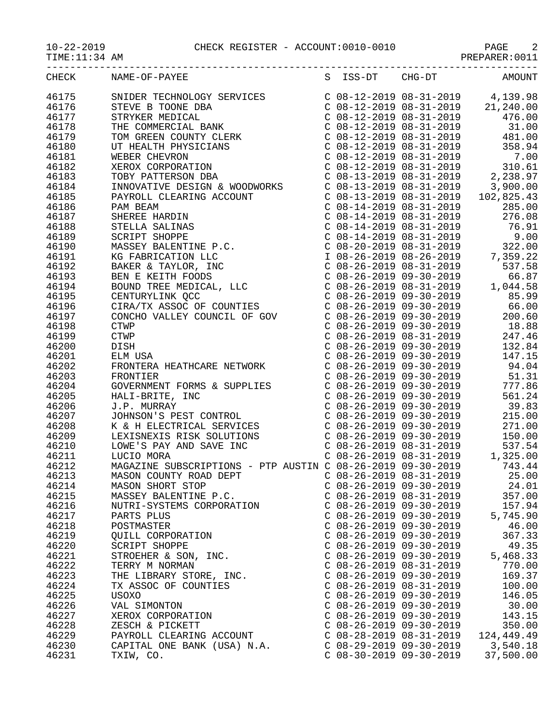10-22-2019 CHECK REGISTER - ACCOUNT:0010-0010 PAGE 2

TIME:11:34 AM PREPARER:0011

| CHECK | NAME-OF-PAYEE<br>$\begin{tabular}{l c c c c} \multicolumn{4}{l}{\textbf{NAME-OP+PAYBE}} & \multicolumn{4}{l}{S} & \multicolumn{4}{l}{158-97} & \multicolumn{4}{l}{MAME-OP+PAYBE} \\ \multicolumn{4}{l}{\textbf{STRYFE}} & \multicolumn{4}{l}{\textbf{STRYBE}} & \multicolumn{4}{l}{\textbf{C 08-12-2019}} & \multicolumn{4}{l}{\textbf{08-31-2019}} & \multicolumn{4}{l}{\textbf{21.2019}} & \multicolumn{4}{l}{\textbf{21.2019$ |                           |                           | S ISS-DT CHG-DT AMOUNT                                                                                                                                                                    |
|-------|----------------------------------------------------------------------------------------------------------------------------------------------------------------------------------------------------------------------------------------------------------------------------------------------------------------------------------------------------------------------------------------------------------------------------------|---------------------------|---------------------------|-------------------------------------------------------------------------------------------------------------------------------------------------------------------------------------------|
| 46175 |                                                                                                                                                                                                                                                                                                                                                                                                                                  |                           |                           |                                                                                                                                                                                           |
| 46176 |                                                                                                                                                                                                                                                                                                                                                                                                                                  |                           |                           |                                                                                                                                                                                           |
| 46177 |                                                                                                                                                                                                                                                                                                                                                                                                                                  |                           |                           |                                                                                                                                                                                           |
|       |                                                                                                                                                                                                                                                                                                                                                                                                                                  |                           |                           |                                                                                                                                                                                           |
| 46178 |                                                                                                                                                                                                                                                                                                                                                                                                                                  |                           |                           |                                                                                                                                                                                           |
| 46179 |                                                                                                                                                                                                                                                                                                                                                                                                                                  |                           |                           |                                                                                                                                                                                           |
| 46180 |                                                                                                                                                                                                                                                                                                                                                                                                                                  |                           |                           |                                                                                                                                                                                           |
| 46181 |                                                                                                                                                                                                                                                                                                                                                                                                                                  |                           |                           |                                                                                                                                                                                           |
| 46182 |                                                                                                                                                                                                                                                                                                                                                                                                                                  |                           |                           |                                                                                                                                                                                           |
| 46183 |                                                                                                                                                                                                                                                                                                                                                                                                                                  |                           |                           |                                                                                                                                                                                           |
| 46184 |                                                                                                                                                                                                                                                                                                                                                                                                                                  |                           |                           |                                                                                                                                                                                           |
| 46185 |                                                                                                                                                                                                                                                                                                                                                                                                                                  |                           |                           |                                                                                                                                                                                           |
| 46186 |                                                                                                                                                                                                                                                                                                                                                                                                                                  |                           |                           |                                                                                                                                                                                           |
| 46187 |                                                                                                                                                                                                                                                                                                                                                                                                                                  |                           |                           |                                                                                                                                                                                           |
| 46188 |                                                                                                                                                                                                                                                                                                                                                                                                                                  |                           |                           |                                                                                                                                                                                           |
|       |                                                                                                                                                                                                                                                                                                                                                                                                                                  |                           |                           |                                                                                                                                                                                           |
| 46189 |                                                                                                                                                                                                                                                                                                                                                                                                                                  |                           |                           |                                                                                                                                                                                           |
| 46190 |                                                                                                                                                                                                                                                                                                                                                                                                                                  |                           |                           |                                                                                                                                                                                           |
| 46191 |                                                                                                                                                                                                                                                                                                                                                                                                                                  |                           |                           |                                                                                                                                                                                           |
| 46192 |                                                                                                                                                                                                                                                                                                                                                                                                                                  |                           |                           |                                                                                                                                                                                           |
| 46193 |                                                                                                                                                                                                                                                                                                                                                                                                                                  |                           |                           |                                                                                                                                                                                           |
| 46194 |                                                                                                                                                                                                                                                                                                                                                                                                                                  |                           |                           |                                                                                                                                                                                           |
| 46195 |                                                                                                                                                                                                                                                                                                                                                                                                                                  |                           |                           |                                                                                                                                                                                           |
| 46196 |                                                                                                                                                                                                                                                                                                                                                                                                                                  |                           |                           |                                                                                                                                                                                           |
| 46197 |                                                                                                                                                                                                                                                                                                                                                                                                                                  |                           |                           | C 08-26-2019 09-30-2019<br>C 08-26-2019 09-30-2019<br>C 08-26-2019 08-31-2019<br>C 08-26-2019 08-31-2019<br>C 08-26-2019 09-30-2019<br>132.84                                             |
| 46198 |                                                                                                                                                                                                                                                                                                                                                                                                                                  |                           |                           |                                                                                                                                                                                           |
| 46199 |                                                                                                                                                                                                                                                                                                                                                                                                                                  |                           |                           |                                                                                                                                                                                           |
|       |                                                                                                                                                                                                                                                                                                                                                                                                                                  |                           |                           |                                                                                                                                                                                           |
| 46200 |                                                                                                                                                                                                                                                                                                                                                                                                                                  |                           |                           |                                                                                                                                                                                           |
| 46201 |                                                                                                                                                                                                                                                                                                                                                                                                                                  |                           |                           |                                                                                                                                                                                           |
| 46202 | ELW USA<br>FRONTERA HEATHCARE NETWORK                                                                                                                                                                                                                                                                                                                                                                                            |                           |                           | $C$ 08-26-2019 09-30-2019 94.04                                                                                                                                                           |
| 46203 |                                                                                                                                                                                                                                                                                                                                                                                                                                  |                           |                           | $\begin{array}{lllllll} \text{C} & 08-26-2019 & 09-30-2019 & & & 51.31 \\ \text{C} & 08-26-2019 & 09-30-2019 & & & 777.86 \\ \text{C} & 08-26-2019 & 09-30-2019 & & & 561.24 \end{array}$ |
| 46204 |                                                                                                                                                                                                                                                                                                                                                                                                                                  |                           |                           |                                                                                                                                                                                           |
| 46205 |                                                                                                                                                                                                                                                                                                                                                                                                                                  |                           |                           |                                                                                                                                                                                           |
| 46206 |                                                                                                                                                                                                                                                                                                                                                                                                                                  |                           |                           |                                                                                                                                                                                           |
| 46207 | FRONTIER<br>FRONTIER<br>HALI-BRITE, INC<br>J.P. MURRAY<br>JOHNSON'S PEST CONTROL<br>X.& H ELECTRICAL SERVICES<br>LEXISNEXIS RISK SOLUTIONS<br>LOWE'S PAY AND SAVE INC<br>LOWE'S PAY AND SAVE INC<br>LOWE'S PAY AND SAVE INC<br>LOWER<br>THE CONTROL<br>                                                                                                                                                                          |                           |                           |                                                                                                                                                                                           |
| 46208 |                                                                                                                                                                                                                                                                                                                                                                                                                                  |                           |                           |                                                                                                                                                                                           |
| 46209 |                                                                                                                                                                                                                                                                                                                                                                                                                                  |                           |                           |                                                                                                                                                                                           |
| 46210 |                                                                                                                                                                                                                                                                                                                                                                                                                                  |                           |                           |                                                                                                                                                                                           |
| 46211 |                                                                                                                                                                                                                                                                                                                                                                                                                                  |                           |                           |                                                                                                                                                                                           |
|       |                                                                                                                                                                                                                                                                                                                                                                                                                                  |                           |                           |                                                                                                                                                                                           |
| 46212 | MAGAZINE SUBSCRIPTIONS - PTP AUSTIN C 08-26-2019 09-30-2019                                                                                                                                                                                                                                                                                                                                                                      |                           |                           | 743.44                                                                                                                                                                                    |
| 46213 | MASON COUNTY ROAD DEPT                                                                                                                                                                                                                                                                                                                                                                                                           |                           | $C$ 08-26-2019 08-31-2019 | 25.00                                                                                                                                                                                     |
| 46214 | MASON SHORT STOP                                                                                                                                                                                                                                                                                                                                                                                                                 | $C$ 08-26-2019 09-30-2019 |                           | 24.01                                                                                                                                                                                     |
| 46215 | MASSEY BALENTINE P.C.                                                                                                                                                                                                                                                                                                                                                                                                            | $C$ 08-26-2019 08-31-2019 |                           | 357.00                                                                                                                                                                                    |
| 46216 | NUTRI-SYSTEMS CORPORATION                                                                                                                                                                                                                                                                                                                                                                                                        | $C$ 08-26-2019 09-30-2019 |                           | 157.94                                                                                                                                                                                    |
| 46217 | PARTS PLUS                                                                                                                                                                                                                                                                                                                                                                                                                       | $C$ 08-26-2019 09-30-2019 |                           | 5,745.90                                                                                                                                                                                  |
| 46218 | POSTMASTER                                                                                                                                                                                                                                                                                                                                                                                                                       | $C$ 08-26-2019 09-30-2019 |                           | 46.00                                                                                                                                                                                     |
| 46219 | QUILL CORPORATION                                                                                                                                                                                                                                                                                                                                                                                                                | $C$ 08-26-2019 09-30-2019 |                           | 367.33                                                                                                                                                                                    |
| 46220 | SCRIPT SHOPPE                                                                                                                                                                                                                                                                                                                                                                                                                    | $C$ 08-26-2019 09-30-2019 |                           | 49.35                                                                                                                                                                                     |
| 46221 | STROEHER & SON, INC.                                                                                                                                                                                                                                                                                                                                                                                                             | $C$ 08-26-2019 09-30-2019 |                           | 5,468.33                                                                                                                                                                                  |
| 46222 | TERRY M NORMAN                                                                                                                                                                                                                                                                                                                                                                                                                   | $C$ 08-26-2019 08-31-2019 |                           | 770.00                                                                                                                                                                                    |
| 46223 | THE LIBRARY STORE, INC.                                                                                                                                                                                                                                                                                                                                                                                                          | $C$ 08-26-2019 09-30-2019 |                           | 169.37                                                                                                                                                                                    |
|       |                                                                                                                                                                                                                                                                                                                                                                                                                                  |                           |                           |                                                                                                                                                                                           |
| 46224 | TX ASSOC OF COUNTIES                                                                                                                                                                                                                                                                                                                                                                                                             | $C$ 08-26-2019 08-31-2019 |                           | 100.00                                                                                                                                                                                    |
| 46225 | USOXO                                                                                                                                                                                                                                                                                                                                                                                                                            | $C$ 08-26-2019 09-30-2019 |                           | 146.05                                                                                                                                                                                    |
| 46226 | VAL SIMONTON                                                                                                                                                                                                                                                                                                                                                                                                                     | $C$ 08-26-2019 09-30-2019 |                           | 30.00                                                                                                                                                                                     |
| 46227 | XEROX CORPORATION                                                                                                                                                                                                                                                                                                                                                                                                                | $C$ 08-26-2019 09-30-2019 |                           | 143.15                                                                                                                                                                                    |
| 46228 | ZESCH & PICKETT                                                                                                                                                                                                                                                                                                                                                                                                                  | $C$ 08-26-2019 09-30-2019 |                           | 350.00                                                                                                                                                                                    |
| 46229 | PAYROLL CLEARING ACCOUNT                                                                                                                                                                                                                                                                                                                                                                                                         | $C$ 08-28-2019 08-31-2019 |                           | 124,449.49                                                                                                                                                                                |
| 46230 | CAPITAL ONE BANK (USA) N.A.                                                                                                                                                                                                                                                                                                                                                                                                      | C 08-29-2019 09-30-2019   |                           | 3,540.18                                                                                                                                                                                  |
| 46231 | TXIW, CO.                                                                                                                                                                                                                                                                                                                                                                                                                        | $C$ 08-30-2019 09-30-2019 |                           | 37,500.00                                                                                                                                                                                 |